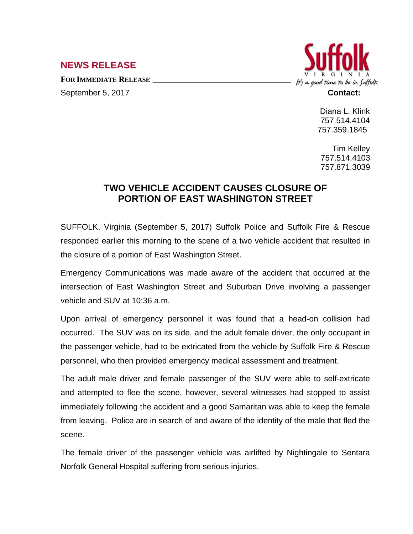## **NEWS RELEASE**

**FOR IMMEDIATE RELEASE \_\_\_\_\_\_\_\_\_\_\_\_\_\_\_\_\_\_\_\_\_\_\_\_\_\_\_\_\_\_\_\_\_\_**



September 5, 2017 **Contact:** 

Diana L. Klink 757.514.4104 757.359.1845

Tim Kelley 757.514.4103 757.871.3039

## **TWO VEHICLE ACCIDENT CAUSES CLOSURE OF PORTION OF EAST WASHINGTON STREET**

SUFFOLK, Virginia (September 5, 2017) Suffolk Police and Suffolk Fire & Rescue responded earlier this morning to the scene of a two vehicle accident that resulted in the closure of a portion of East Washington Street.

Emergency Communications was made aware of the accident that occurred at the intersection of East Washington Street and Suburban Drive involving a passenger vehicle and SUV at 10:36 a.m.

Upon arrival of emergency personnel it was found that a head-on collision had occurred. The SUV was on its side, and the adult female driver, the only occupant in the passenger vehicle, had to be extricated from the vehicle by Suffolk Fire & Rescue personnel, who then provided emergency medical assessment and treatment.

The adult male driver and female passenger of the SUV were able to self-extricate and attempted to flee the scene, however, several witnesses had stopped to assist immediately following the accident and a good Samaritan was able to keep the female from leaving. Police are in search of and aware of the identity of the male that fled the scene.

The female driver of the passenger vehicle was airlifted by Nightingale to Sentara Norfolk General Hospital suffering from serious injuries.